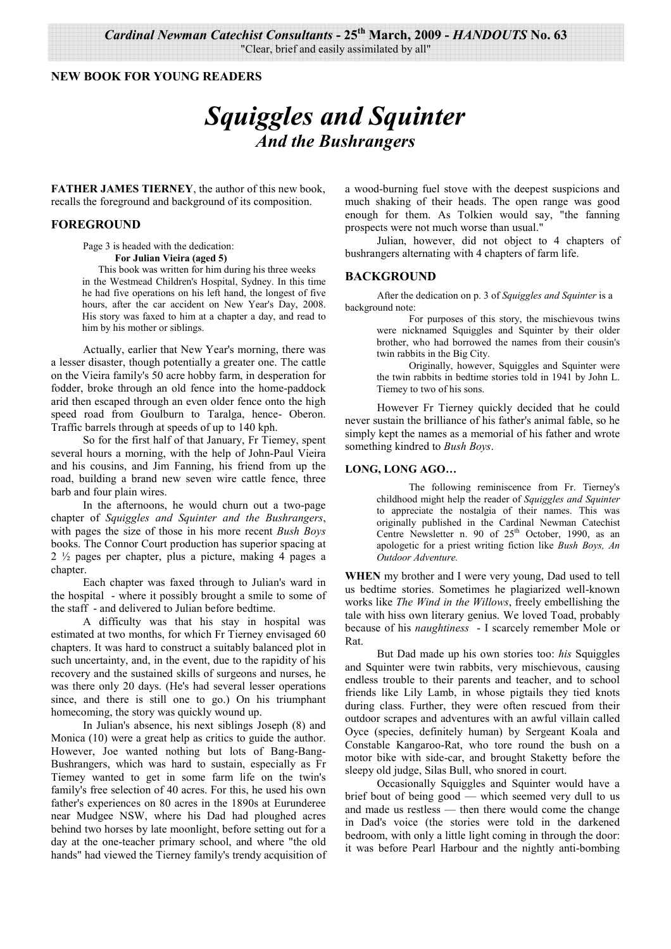**NEW BOOK FOR YOUNG READERS** 

# **Squiggles and Squinter And the Bushrangers**

**FATHER JAMES TIERNEY**, the author of this new book, recalls the foreground and background of its composition.

#### **FOREGROUND**

Page 3 is headed with the dedication:

For Julian Vieira (aged 5)

This book was written for him during his three weeks in the Westmead Children's Hospital, Sydney. In this time he had five operations on his left hand, the longest of five hours, after the car accident on New Year's Day, 2008. His story was faxed to him at a chapter a day, and read to him by his mother or siblings.

Actually, earlier that New Year's morning, there was a lesser disaster, though potentially a greater one. The cattle on the Vieira family's 50 acre hobby farm, in desperation for fodder, broke through an old fence into the home-paddock arid then escaped through an even older fence onto the high speed road from Goulburn to Taralga, hence- Oberon. Traffic barrels through at speeds of up to 140 kph.

So for the first half of that January, Fr Tiemey, spent several hours a morning, with the help of John-Paul Vieira and his cousins, and Jim Fanning, his friend from up the road, building a brand new seven wire cattle fence, three barb and four plain wires.

In the afternoons, he would churn out a two-page chapter of Squiggles and Squinter and the Bushrangers, with pages the size of those in his more recent *Bush Boys* books. The Connor Court production has superior spacing at  $2\frac{1}{2}$  pages per chapter, plus a picture, making 4 pages a chapter.

Each chapter was faxed through to Julian's ward in the hospital - where it possibly brought a smile to some of the staff - and delivered to Julian before bedtime.

A difficulty was that his stay in hospital was estimated at two months, for which Fr Tierney envisaged 60 chapters. It was hard to construct a suitably balanced plot in such uncertainty, and, in the event, due to the rapidity of his recovery and the sustained skills of surgeons and nurses, he was there only 20 days. (He's had several lesser operations since, and there is still one to go.) On his triumphant homecoming, the story was quickly wound up.

In Julian's absence, his next siblings Joseph (8) and Monica (10) were a great help as critics to guide the author. However, Joe wanted nothing but lots of Bang-Bang-Bushrangers, which was hard to sustain, especially as Fr Tiemey wanted to get in some farm life on the twin's family's free selection of 40 acres. For this, he used his own father's experiences on 80 acres in the 1890s at Eurunderee near Mudgee NSW, where his Dad had ploughed acres behind two horses by late moonlight, before setting out for a day at the one-teacher primary school, and where "the old hands" had viewed the Tierney family's trendy acquisition of a wood-burning fuel stove with the deepest suspicions and much shaking of their heads. The open range was good enough for them. As Tolkien would say, "the fanning prospects were not much worse than usual."

Julian, however, did not object to 4 chapters of bushrangers alternating with 4 chapters of farm life.

### **BACKGROUND**

After the dedication on p. 3 of Squiggles and Squinter is a background note:

> For purposes of this story, the mischievous twins were nicknamed Squiggles and Squinter by their older brother, who had borrowed the names from their cousin's twin rabbits in the Big City.

> Originally, however, Squiggles and Squinter were the twin rabbits in bedtime stories told in 1941 by John L. Tiemey to two of his sons.

However Fr Tierney quickly decided that he could never sustain the brilliance of his father's animal fable, so he simply kept the names as a memorial of his father and wrote something kindred to Bush Boys.

#### LONG, LONG AGO...

The following reminiscence from Fr. Tierney's childhood might help the reader of Squiggles and Squinter to appreciate the nostalgia of their names. This was originally published in the Cardinal Newman Catechist Centre Newsletter n. 90 of  $25<sup>th</sup>$  October, 1990, as an apologetic for a priest writing fiction like Bush Boys, An Outdoor Adventure.

WHEN my brother and I were very young, Dad used to tell us bedtime stories. Sometimes he plagiarized well-known works like The Wind in the Willows, freely embellishing the tale with hiss own literary genius. We loved Toad, probably because of his naughtiness - I scarcely remember Mole or Rat.

But Dad made up his own stories too: his Squiggles and Squinter were twin rabbits, very mischievous, causing endless trouble to their parents and teacher, and to school friends like Lily Lamb, in whose pigtails they tied knots during class. Further, they were often rescued from their outdoor scrapes and adventures with an awful villain called Oyce (species, definitely human) by Sergeant Koala and Constable Kangaroo-Rat, who tore round the bush on a motor bike with side-car, and brought Staketty before the sleepy old judge, Silas Bull, who snored in court.

Occasionally Squiggles and Squinter would have a brief bout of being good — which seemed very dull to us and made us restless — then there would come the change in Dad's voice (the stories were told in the darkened bedroom, with only a little light coming in through the door: it was before Pearl Harbour and the nightly anti-bombing